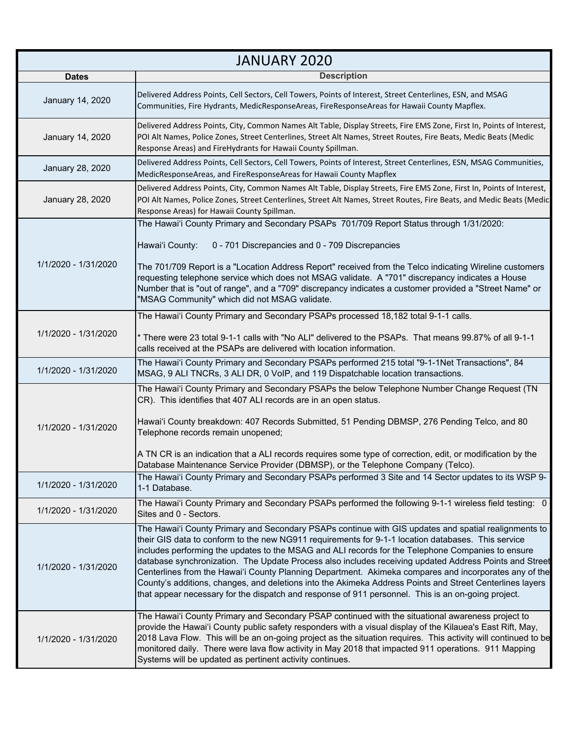| <b>JANUARY 2020</b>  |                                                                                                                                                                                                                                                                                                                                                                                                                                                                                                                                                                                                                                                                                                                                                      |  |
|----------------------|------------------------------------------------------------------------------------------------------------------------------------------------------------------------------------------------------------------------------------------------------------------------------------------------------------------------------------------------------------------------------------------------------------------------------------------------------------------------------------------------------------------------------------------------------------------------------------------------------------------------------------------------------------------------------------------------------------------------------------------------------|--|
| <b>Dates</b>         | <b>Description</b>                                                                                                                                                                                                                                                                                                                                                                                                                                                                                                                                                                                                                                                                                                                                   |  |
| January 14, 2020     | Delivered Address Points, Cell Sectors, Cell Towers, Points of Interest, Street Centerlines, ESN, and MSAG<br>Communities, Fire Hydrants, MedicResponseAreas, FireResponseAreas for Hawaii County Mapflex.                                                                                                                                                                                                                                                                                                                                                                                                                                                                                                                                           |  |
| January 14, 2020     | Delivered Address Points, City, Common Names Alt Table, Display Streets, Fire EMS Zone, First In, Points of Interest,<br>POI Alt Names, Police Zones, Street Centerlines, Street Alt Names, Street Routes, Fire Beats, Medic Beats (Medic<br>Response Areas) and FireHydrants for Hawaii County Spillman.                                                                                                                                                                                                                                                                                                                                                                                                                                            |  |
| January 28, 2020     | Delivered Address Points, Cell Sectors, Cell Towers, Points of Interest, Street Centerlines, ESN, MSAG Communities,<br>MedicResponseAreas, and FireResponseAreas for Hawaii County Mapflex                                                                                                                                                                                                                                                                                                                                                                                                                                                                                                                                                           |  |
| January 28, 2020     | Delivered Address Points, City, Common Names Alt Table, Display Streets, Fire EMS Zone, First In, Points of Interest,<br>POI Alt Names, Police Zones, Street Centerlines, Street Alt Names, Street Routes, Fire Beats, and Medic Beats (Medic<br>Response Areas) for Hawaii County Spillman.                                                                                                                                                                                                                                                                                                                                                                                                                                                         |  |
| 1/1/2020 - 1/31/2020 | The Hawai'i County Primary and Secondary PSAPs 701/709 Report Status through 1/31/2020:<br>Hawai'i County:<br>0 - 701 Discrepancies and 0 - 709 Discrepancies<br>The 701/709 Report is a "Location Address Report" received from the Telco indicating Wireline customers<br>requesting telephone service which does not MSAG validate. A "701" discrepancy indicates a House<br>Number that is "out of range", and a "709" discrepancy indicates a customer provided a "Street Name" or<br>"MSAG Community" which did not MSAG validate.                                                                                                                                                                                                             |  |
| 1/1/2020 - 1/31/2020 | The Hawai'i County Primary and Secondary PSAPs processed 18,182 total 9-1-1 calls.<br>* There were 23 total 9-1-1 calls with "No ALI" delivered to the PSAPs. That means 99.87% of all 9-1-1<br>calls received at the PSAPs are delivered with location information.                                                                                                                                                                                                                                                                                                                                                                                                                                                                                 |  |
| 1/1/2020 - 1/31/2020 | The Hawai'i County Primary and Secondary PSAPs performed 215 total "9-1-1Net Transactions", 84<br>MSAG, 9 ALI TNCRs, 3 ALI DR, 0 VoIP, and 119 Dispatchable location transactions.                                                                                                                                                                                                                                                                                                                                                                                                                                                                                                                                                                   |  |
| 1/1/2020 - 1/31/2020 | The Hawai'i County Primary and Secondary PSAPs the below Telephone Number Change Request (TN<br>CR). This identifies that 407 ALI records are in an open status.<br>Hawai'i County breakdown: 407 Records Submitted, 51 Pending DBMSP, 276 Pending Telco, and 80<br>Telephone records remain unopened;<br>A TN CR is an indication that a ALI records requires some type of correction, edit, or modification by the<br>Database Maintenance Service Provider (DBMSP), or the Telephone Company (Telco).                                                                                                                                                                                                                                             |  |
| 1/1/2020 - 1/31/2020 | The Hawai'i County Primary and Secondary PSAPs performed 3 Site and 14 Sector updates to its WSP 9-<br>1-1 Database.                                                                                                                                                                                                                                                                                                                                                                                                                                                                                                                                                                                                                                 |  |
| 1/1/2020 - 1/31/2020 | The Hawai'i County Primary and Secondary PSAPs performed the following 9-1-1 wireless field testing: 0<br>Sites and 0 - Sectors.                                                                                                                                                                                                                                                                                                                                                                                                                                                                                                                                                                                                                     |  |
| 1/1/2020 - 1/31/2020 | The Hawai'i County Primary and Secondary PSAPs continue with GIS updates and spatial realignments to<br>their GIS data to conform to the new NG911 requirements for 9-1-1 location databases. This service<br>includes performing the updates to the MSAG and ALI records for the Telephone Companies to ensure<br>database synchronization. The Update Process also includes receiving updated Address Points and Street<br>Centerlines from the Hawai'i County Planning Department. Akimeka compares and incorporates any of the<br>County's additions, changes, and deletions into the Akimeka Address Points and Street Centerlines layers<br>that appear necessary for the dispatch and response of 911 personnel. This is an on-going project. |  |
| 1/1/2020 - 1/31/2020 | The Hawai'i County Primary and Secondary PSAP continued with the situational awareness project to<br>provide the Hawai'i County public safety responders with a visual display of the Kilauea's East Rift, May,<br>2018 Lava Flow. This will be an on-going project as the situation requires. This activity will continued to be<br>monitored daily. There were lava flow activity in May 2018 that impacted 911 operations. 911 Mapping<br>Systems will be updated as pertinent activity continues.                                                                                                                                                                                                                                                |  |